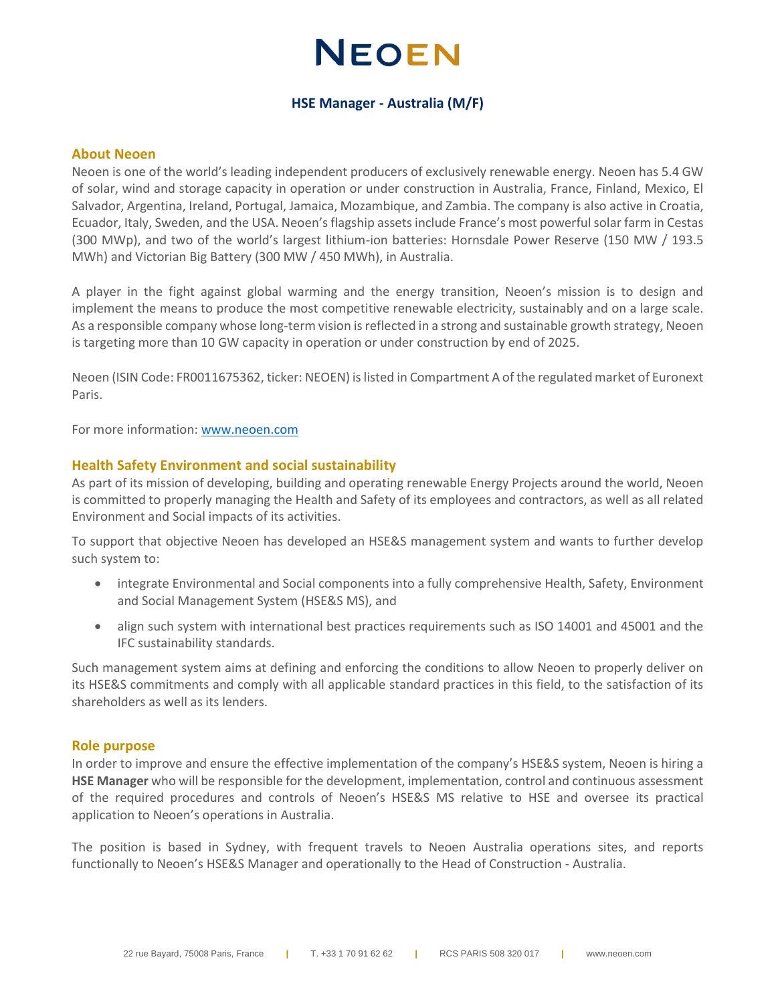## **NEOEN**

## **HSE Manager - Australia (M/F)**

#### **About Neoen**

Neoen is one of the world's leading independent producers of exclusively renewable energy. Neoen has 5.4 GW of solar, wind and storage capacity in operation or under construction in Australia, France, Finland, Mexico, El Salvador, Argentina, Ireland, Portugal, Jamaica, Mozambique, and Zambia. The company is also active in Croatia, Ecuador, Italy, Sweden, and the USA. Neoen's flagship assets include France's most powerful solar farm in Cestas (300 MWp), and two of the world's largest lithium-ion batteries: Hornsdale Power Reserve (150 MW / 193.5 MWh) and Victorian Big Battery (300 MW / 450 MWh), in Australia.

A player in the fight against global warming and the energy transition, Neoen's mission is to design and implement the means to produce the most competitive renewable electricity, sustainably and on a large scale. As a responsible company whose long-term vision is reflected in a strong and sustainable growth strategy, Neoen is targeting more than 10 GW capacity in operation or under construction by end of 2025.

Neoen (ISIN Code: FR0011675362, ticker: NEOEN) is listed in Compartment A of the regulated market of Euronext Paris.

For more information: [www.neoen.com](http://www.neoen.com/)

## **Health Safety Environment and social sustainability**

As part of its mission of developing, building and operating renewable Energy Projects around the world, Neoen is committed to properly managing the Health and Safety of its employees and contractors, as well as all related Environment and Social impacts of its activities.

To support that objective Neoen has developed an HSE&S management system and wants to further develop such system to:

- integrate Environmental and Social components into a fully comprehensive Health, Safety, Environment and Social Management System (HSE&S MS), and
- align such system with international best practices requirements such as ISO 14001 and 45001 and the IFC sustainability standards.

Such management system aims at defining and enforcing the conditions to allow Neoen to properly deliver on its HSE&S commitments and comply with all applicable standard practices in this field, to the satisfaction of its shareholders as well as its lenders.

#### **Role purpose**

In order to improve and ensure the effective implementation of the company's HSE&S system, Neoen is hiring a **HSE Manager** who will be responsible for the development, implementation, control and continuous assessment of the required procedures and controls of Neoen's HSE&S MS relative to HSE and oversee its practical application to Neoen's operations in Australia.

The position is based in Sydney, with frequent travels to Neoen Australia operations sites, and reports functionally to Neoen's HSE&S Manager and operationally to the Head of Construction - Australia.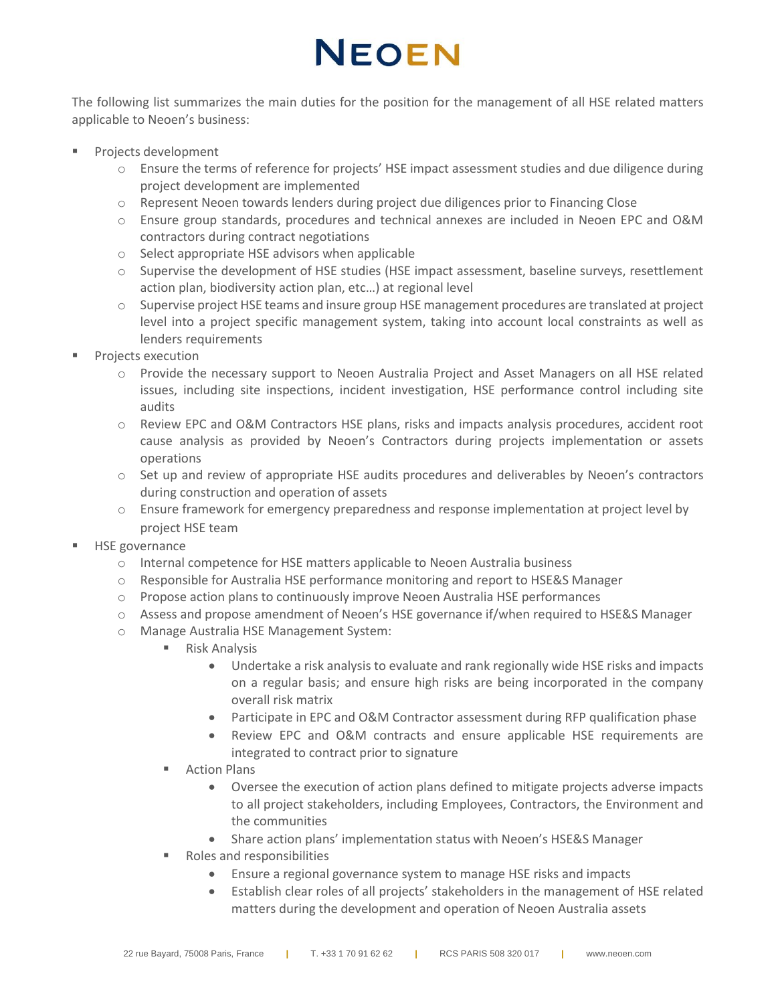# **NEOEN**

The following list summarizes the main duties for the position for the management of all HSE related matters applicable to Neoen's business:

- Projects development
	- o Ensure the terms of reference for projects' HSE impact assessment studies and due diligence during project development are implemented
	- o Represent Neoen towards lenders during project due diligences prior to Financing Close
	- o Ensure group standards, procedures and technical annexes are included in Neoen EPC and O&M contractors during contract negotiations
	- o Select appropriate HSE advisors when applicable
	- o Supervise the development of HSE studies (HSE impact assessment, baseline surveys, resettlement action plan, biodiversity action plan, etc…) at regional level
	- o Supervise project HSE teams and insure group HSE management procedures are translated at project level into a project specific management system, taking into account local constraints as well as lenders requirements
- Projects execution
	- o Provide the necessary support to Neoen Australia Project and Asset Managers on all HSE related issues, including site inspections, incident investigation, HSE performance control including site audits
	- o Review EPC and O&M Contractors HSE plans, risks and impacts analysis procedures, accident root cause analysis as provided by Neoen's Contractors during projects implementation or assets operations
	- o Set up and review of appropriate HSE audits procedures and deliverables by Neoen's contractors during construction and operation of assets
	- o Ensure framework for emergency preparedness and response implementation at project level by project HSE team
- **HSE** governance
	- o Internal competence for HSE matters applicable to Neoen Australia business
	- o Responsible for Australia HSE performance monitoring and report to HSE&S Manager
	- o Propose action plans to continuously improve Neoen Australia HSE performances
	- o Assess and propose amendment of Neoen's HSE governance if/when required to HSE&S Manager
	- o Manage Australia HSE Management System:
		- Risk Analysis
			- Undertake a risk analysis to evaluate and rank regionally wide HSE risks and impacts on a regular basis; and ensure high risks are being incorporated in the company overall risk matrix
			- Participate in EPC and O&M Contractor assessment during RFP qualification phase
			- Review EPC and O&M contracts and ensure applicable HSE requirements are integrated to contract prior to signature
		- Action Plans
			- Oversee the execution of action plans defined to mitigate projects adverse impacts to all project stakeholders, including Employees, Contractors, the Environment and the communities
			- Share action plans' implementation status with Neoen's HSE&S Manager
		- Roles and responsibilities
			- Ensure a regional governance system to manage HSE risks and impacts
			- Establish clear roles of all projects' stakeholders in the management of HSE related matters during the development and operation of Neoen Australia assets